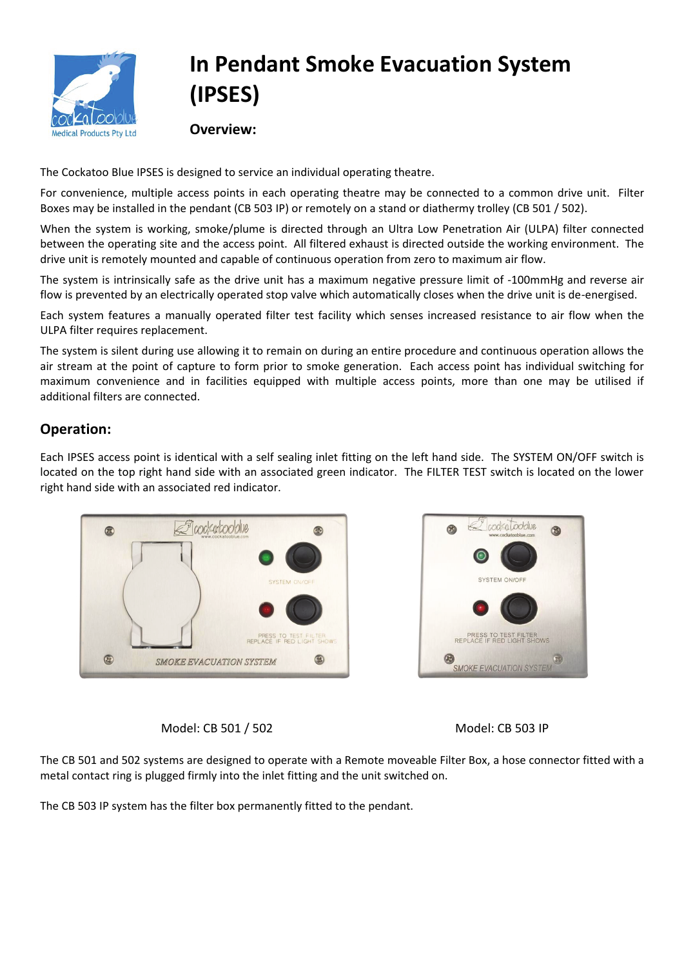

## **In Pendant Smoke Evacuation System (IPSES)**

**Overview:**

The Cockatoo Blue IPSES is designed to service an individual operating theatre.

For convenience, multiple access points in each operating theatre may be connected to a common drive unit. Filter Boxes may be installed in the pendant (CB 503 IP) or remotely on a stand or diathermy trolley (CB 501 / 502).

When the system is working, smoke/plume is directed through an Ultra Low Penetration Air (ULPA) filter connected between the operating site and the access point. All filtered exhaust is directed outside the working environment. The drive unit is remotely mounted and capable of continuous operation from zero to maximum air flow.

The system is intrinsically safe as the drive unit has a maximum negative pressure limit of -100mmHg and reverse air flow is prevented by an electrically operated stop valve which automatically closes when the drive unit is de-energised.

Each system features a manually operated filter test facility which senses increased resistance to air flow when the ULPA filter requires replacement.

The system is silent during use allowing it to remain on during an entire procedure and continuous operation allows the air stream at the point of capture to form prior to smoke generation. Each access point has individual switching for maximum convenience and in facilities equipped with multiple access points, more than one may be utilised if additional filters are connected.

## **Operation:**

Each IPSES access point is identical with a self sealing inlet fitting on the left hand side. The SYSTEM ON/OFF switch is located on the top right hand side with an associated green indicator. The FILTER TEST switch is located on the lower right hand side with an associated red indicator.





Model: CB 501 / 502 Model: CB 503 IP

The CB 501 and 502 systems are designed to operate with a Remote moveable Filter Box, a hose connector fitted with a metal contact ring is plugged firmly into the inlet fitting and the unit switched on.

The CB 503 IP system has the filter box permanently fitted to the pendant.